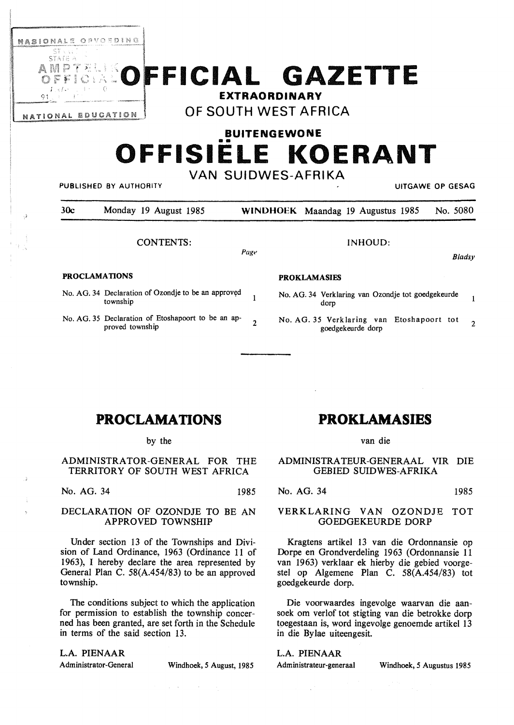

# **FICIAL GAZETTE**  <sup>91</sup>**EXTRAORDINARY**

NATIONAL EDUCATION **OF SOUTH WEST AFRICA** 

## **BUITENGEWONE**  •• **OFFISIELE KOERANT VAN SUIDWES-AFRIKA**

PUBLISHED BY AUTHORITY **UITGAWE OP GESAG** 

30c Monday 19 August 1985 **WINDHOEK** Maandag 19 Augustus 1985 No. 5080 CONTENTS: INHOUD: *Pagt> Bladsy*  **PROCLAMATIONS PROKLAMASIES**  No. AG. 34 Declaration of Ozondje to be an approved No. AG. 34 Verklaring van Ozondje tot goedgekeurde  $\mathbf{1}$  $\mathbf{1}$ township dorp No. AG. 35 Declaration of Etoshapoort to be an ap-No. AG. 35 Verklaring van Etoshapoort tot  $\overline{2}$  $\overline{2}$ proved township goedgekeurde dorp

### **PROCLAMATIONS**

#### by the

ADMINISTRATOR-GENERAL FOR THE TERRITORY OF SOUTH WEST AFRICA

No. AG. 34 1985

### DECLARATION OF OZONDJE TO BE AN **APPROVED TOWNSHIP**

Under section 13 of the Townships and Division of Land Ordinance, 1963 (Ordinance 11 of 1963), I hereby declare the area represented by General Plan C. 58(A.454/83) to be an approved township.

The conditions subject to which the application for permission to establish the township concerned has been granted, are set forth in the Schedule in terms of the said section 13.

#### **L.A. PIENAAR**

Administrator-General **Windhoek,** *5* **August, 1985** 

 $\label{eq:2.1} \mathcal{A} = \mathcal{A} \left( \mathcal{A} \right) \left( \mathcal{A} \right) \left( \mathcal{A} \right) \left( \mathcal{A} \right) \left( \mathcal{A} \right)$ 

### **PROKLAMASIES**

#### van die

ADMINISTRATEUR-GENERAAL VIR DIE GEBIED SUIDWES-AFRIKA

No. AG. 34 1985

#### VERKLARING VAN OZONDJE TOT GOEDGEKEURDE DORP

Kragtens artikel 13 van die Ordonnansie op Dorpe en Grondverdeling 1963 (Ordonnansie 11 van 1963) verklaar ek hierby die gebied voorgestel op Algemene Plan C. 58(A.454/83) tot goedgekeurde dorp.

Die voorwaardes ingevolge waarvan die aansoek om verlof tot stigting van die betrokke dorp toegestaan is, word ingevolge genoemde artikel 13 in die By lae uiteengesit.

#### L.A. **PIENAAR**

 $\sim$   $_{\star}$ 

Administrateur-generaal Windhoek, *5* Augustus 1985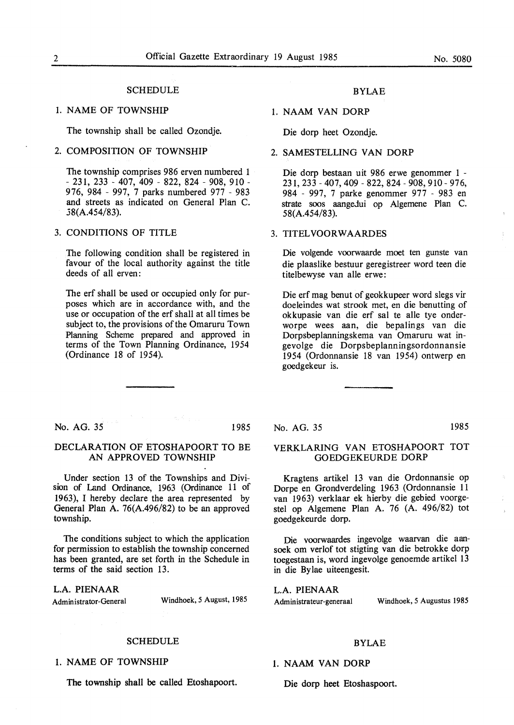#### **SCHEDULE**

#### 1. NAME OF TOWNSHIP

The township shall be called Ozondje.

#### 2. COMPOSITION OF TOWNSHIP

The township comprises 986 erven numbered 1 - 231, 233 - 407, 409 - 822, 824 - 908, 910 - 976, 984 - 997, 7 parks numbered 977 - 983 and streets as indicated on General Plan C. .38(A.454/83).

#### 3. CONDITIONS OF TITLE

The following condition shall be registered in favour of the local authority against the title deeds of all erven:

The erf shall be used or occupied only for purposes which are in accordance with, and the use or occupation of the erf shall at all times be subject to, the provisions of the Omaruru Town Planning Scheme prepared and approved in terms of the Town Planning Ordinance, 1954 (Ordinance 18 of 1954).

#### BYLAE

#### 1. NAAM VAN DORP

Die dorp heet Ozondje.

#### 2. SAMESTELLING VAN DORP

Die dorp bestaan uit 986 erwe genommer 1 - 231, 233 - 407,409 - 822, 824 - 908, 910- 976, 984 - 997, 7 parke genommer 977 - 983 en strate soos aangeJui op Algemene Plan C. 58(A.454/83).

#### 3. TITELVOORWAARDES

Die volgende voorwaarde moet ten gunste van die plaaslike bestuur geregistreer word teen die titelbewyse van alle erwe:

Die erf mag benut of geokkupeer word slegs vir doeleindes wat strook met, en die benutting of okkupasie van die erf sal te alle tye onderworpe wees aan, die bepalings van die Dorpsbeplanningskema van Omaruru wat ingevolge die Dorpsbeplanningsordonnansie 1954 (Ordonnansie 18 van 1954) ontwerp en goedgekeur is.

No. AG. 35 1985

#### DECLARATION OF ETOSHAPOORT TO BE AN APPROVED TOWNSHIP

Under section 13 of the Townships and Division of Land Ordinance, 1963 (Ordinance 11 of 1963), I hereby declare the area represented by General Plan A. 76(A.496/82) to be an approved township.

The conditions subject to which the application for permission to establish the township concerned has been granted, are set forth in the Schedule in terms of the said section 13.

**L.A. PIENAAR** 

Administrator-General Windhoek, *5* August, 1985

#### SCHEDULE

1. NAME OF TOWNSHIP

The township shall be called Etoshapoort.

#### No. AG. 35 1985

### VERKLARING VAN ETOSHAPOORT TOT

Kragtens artikel 13 van die Ordonnansie op Dorpe en Grondverdeling 1963 (Ordonnansie 11 van 1963) verklaar ek hierby die gebied voorgestel op Algemene Plan A. 76 (A. 496/82) tot goedgekeurde dorp.

GOEDGEKEURDE DORP

Die voorwaardes ingevolge waarvan die aansoek om verlof tot stigting van die betrokke dorp toegestaan is, word ingevolge genoemde artikel 13 in die By lae uiteengesit.

L.A. PIENAAR Administrateur-generaal Windhoek, *5* Augustus 1985

#### BYLAE

#### 1. NAAM VAN DORP

Die dorp beet Etoshaspoort.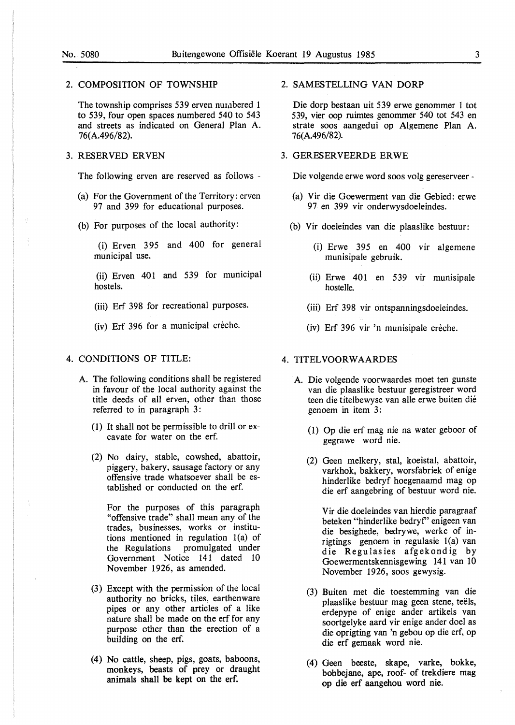#### 2. COMPOSITION OF TOWNSHIP

The township comprises 539 erven numbered 1 to 539, four open spaces numbered 540 to 543 and streets as indicated on General Plan A. 76(A.496/82).

#### 3. RESERVED ERVEN

The following erven are reserved as follows -

- (a) For the Government of the Territory: erven 97 and 399 for educational purposes.
- (b) For purposes of the local authority:

(i) Erven 395 and 400 for general municipal use.

(ii) Erven 401 and 539 for municipal hostels.

(iii) Erf 398 for recreational purposes.

(iv) Erf 396 for a municipal crèche.

#### 4. CONDITIONS OF TITLE:

- A. The following conditions shall be registered in favour of the local authority against the title deeds of all erven, other than those referred to in paragraph 3:
	- (1) It shall not be permissible to drill or excavate for water on the erf.
	- (2) No dairy, stable, cowshed, abattoir, piggery, bakery, sausage factory or any offensive trade whatsoever shall be established or conducted on the erf.

For the purposes of this paragraph "offensive trade" shall mean any of the trades, businesses, works or institutions mentioned in regulation l(a) of the Regulations promulgated under Government Notice 141 dated 10 November 1926, as amended.

- (3) Except with the permission of the local authority no bricks, tiles, earthenware pipes or any other articles of a like nature shall be made on the erf for any purpose other than the erection of a building on the erf.
- (4) No cattle, sheep, pigs, goats, baboons, monkeys, beasts of prey or draught animals shall be kept on the erf.

#### 2. SAMESTELLING VAN DORP

Die dorp bestaan uit 539 erwe genommer 1 tot 539, vier oop ruimtes genommer 540 tot 543 en strate soos aangedui op Algemene Plan A. 76(A.496/82).

#### 3. GERESERVEERDE ERWE

Die volgende erwe word soos volg gereserveer -

- (a) Vir die Goewerment van die Gebied: erwe 97 en 399 vir onderwysdoeleindes.
- (b) Vir doeleindes van die plaaslike bestuur:
	- (i) Erwe 395 en 400 vir algemene munisipale gebruik.
	- (ii) Erwe 401 en 539 vir munisipale hostelle.
	- (iii) Erf 398 vir ontspanningsdoeleindes.
	- (iv) Erf 396 vir 'n munisipale creche.

#### 4. TITELVOORWAARDES

- A. Die volgende voorwaardes moet ten gunste van die plaaslike bestuur geregistreer word teen die titelbewyse van alle erwe buiten die genoem in item 3:
	- (1) Op die erf mag nie na water geboor of gegrawe word nie.
	- (2) Geen melkery, stal, koeistal, abattoir, varkhok, bakkery, worsfabriek of enige hinderlike bedryf hoegenaamd mag op die erf aangebring of bestuur word nie.

Vir die doeleindes van hierdie paragraaf beteken "hinderlike bedryf' enigeen van die besighede, bedrywe, werke of inrigtings genoem in regulasie l(a) van die Regulasies afgekondig by Goewermentskennisgewing 141 van 10 November 1926, soos gewysig.

- (3) Buiten met die toestemming van die plaaslike bestuur mag geen stene, teëls, erdepype of enige ander artikels van soortgelyke aard vir enige ander doel as die oprigting van 'n gebou op die erf, op die erf gemaak word nie.
- (4) Geen beeste, skape, varke, bokke, bobbejane, ape, roof- of trekdiere mag op die erf aangehou word nie.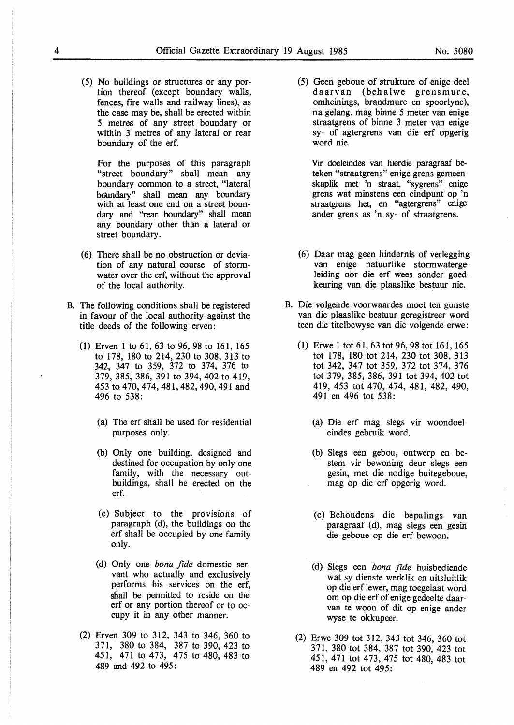(5) No buildings or structures or any portion thereof (except boundary walls, fences, fire walls and railway lines), as the case may be, shall be erected within 5 metres of any street boundary or within 3 metres of any lateral or rear boundary of the erf.

For the purposes of this paragraph "street boundary" shall mean any boundary common to a street, "lateral boundary" shall mean any boundary with at least one end on a street boundary and "rear boundary" shall mean any boundary other than a lateral or street boundary.

- (6) There shall be no obstruction or deviation of any natural course of stormwater over the erf, without the approval of the local authority.
- B. The following conditions shall be registered in favour of the local authority against the title deeds of the following erven:
	- (1) Erven 1 to 61, 63 to 96, 98 to 161, 165 to 178, 180 to 214, 230 to 308, 313 to 342, 347 to 359, 372 to 374, 376 to 379, 385, 386, 391 to 394,402 to 419, 453 to 470,474,481,482,490,491 and 496 to 538:
		- (a) The erf shall be used for residential purposes only.
		- (b) Only one building, designed and destined for occupation by only one family, with the necessary outbuildings, shall be erected on the erf.
		- (c) Subject to the provisions of paragraph (d), the buildings on the erf shall be occupied by one family only.
		- (d) Only one *bona fide* domestic servant who actually and exclusively performs his services on the erf, shall be permitted to reside on the erf or any portion thereof or to occupy it in any other manner.
	- (2) Erven 309 to 312, 343 to 346, 360 to 371, 380 to 384, 387 to 390, 423 to 451, 471 to 473, 475 to 480, 483 to 489 and 492 to 495:

(5) Geen geboue of strukture of enige deel daarvan (behalwe grensmure, omheinings, brandmure en spoorlyne), na gelang, mag binne 5 meter van enige straatgrens of binne 3 meter van enige sy- of agtergrens van die erf opgerig word nie.

Vir doeleindes van hierdie paragraaf beteken "straatgrens" enige grens gemeenskaplik met 'n straat, "sygrens" enige grens wat minstens een eindpunt op 'n straatgrens het, en "agtergrens" enige ander grens as 'n sy- of straatgrens.

- (6) Daar mag geen hindernis of verlegging van enige natuurlike stormwatergeleiding oor die erf wees sonder goedkeuring van die plaaslike bestuur nie.
- B. Die volgende voorwaardes moet ten gunste van die plaaslike bestuur geregistreer word teen die titelbewyse van die volgende erwe:
	- (1) Erwe 1 tot 61, 63 tot 96, 98 tot 161, 165 tot 178, 180 tot 214, 230 tot 308, 313 tot 342, 347 tot 359, 372 tot 374, 376 tot 3 79, 385, 386, 391 tot 394, 402 tot 419, 453 tot 470, 474, 481, 482, 490, 491 en 496 tot 538:
		- (a) Die erf mag slegs vir woondoeleindes gebruik word.
		- (b) Slegs een gebou, ontwerp en bestem vir bewoning deur slegs een gesin, met die nodige buitegeboue, mag op die erf opgerig word.
		- (c) Behoudens die bepalings van paragraaf (d), mag slegs een gesin die geboue op die erf bewoon.
		- (d) Slegs een *bona fide* huisbediende wat sy dienste werklik en uitsluitlik op die erf lewer, mag toegelaat word om op die erf of enige gedeelte daarvan te woon of dit op enige ander wyse te okkupeer.
	- (2) Erwe 309 tot 312, 343 tot 346, 360 tot 371, 380 tot 384, 387 tot 390, 423 tot 451, 471 tot 473, 475 tot 480, 483 tot 489 en 492 tot 495: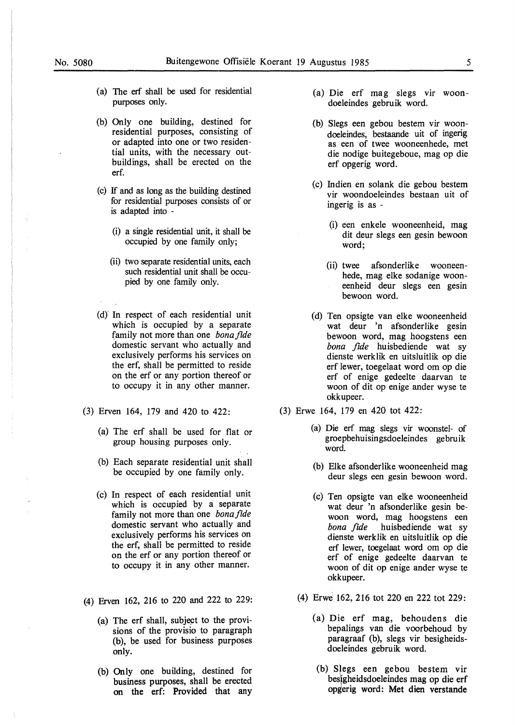- (a) The erf shall be used for residential purposes only.
- (b) Only one building, destined for residential purposes, consisting of or adapted into one or two residential units, with the necessary outbuildings, shall be erected on the erf.
- (c) If and as long as the building destined for residential purposes consists of or is adapted into -
	- (i) a single residential unit, it shall be occupied by one family only;
	- (ii) two separate residential units, each such residential unit shall be occupied by one family only.
- (d)' In respect of each residential unit which is occupied by a separate family not more than one *bonafide*  domestic servant who actually and exclusively performs his services on the erf, shall be permitted to reside on the erf or any portion thereof or to occupy it in any other manner.
- (3) Erven 164, 179 and 420 to 422:
	- (a) The erf shall be used for flat or group housing purposes only.
	- (b) Each separate residential unit shall be occupied by one family only.
	- (c) In respect of each residential unit which is occupied by a separate family not more than one *bonafide*  domestic servant who actually and exclusively performs his services on the erf, shall be permitted to reside on the erf or any portion thereof or to occupy it in any other manner.
- (4) Erven 162, 216 to 220 and 222 to 229:
	- (a) The erf shall, subject to the provisions of the provisio to paragraph (b), be used for business purposes only.
	- (b) Only one building, destined for business purposes, shall be erected on the erf: Provided that any
- (a) Die erf mag slegs vir woondoeleindes gebruik word.
- (b) Slegs een gebou bestem vir woondoeleindes, bestaande uit of ingerig as een of twee wooneenhede, met die nodige buitegeboue, mag op die erf opgerig word.
- (c) Indien en solank die gebou bestem vir woondoeleindes bestaan uit of ingerig is as -
	- (i) een enkele wooneenheid, mag dit deur slegs een gesin bewoon word;
	- (ii) twee afsonderlike wooneenhede, mag elke sodanige wooneenheid deur slegs een gesin bewoon word.
- (d) Ten opsigte van elke wooneenheid wat deur 'n afsonderlike gesin bewoon word, mag hoogstens een *bona fide* huisbediende wat sy dienste werklik en uitsluitlik op die erf lewer, toegelaat word om op die erf of enige gedeelte daarvan te woon of dit op enige ander wyse te okkupeer.
- (3) Erwe 164, 179 en 420 tot 422:
	- (a) Die erf mag slegs vir woonstel- of groepbehuisingsdoeleindes gebruik word.
	- (b) Elke afsonderlike wooneenheid mag deur slegs een gesin bewoon word.
	- (c) Ten opsigte van elke wooneenheid wat deur 'n afsonderlike gesin bewoon word, mag hoogstens een *bona fide* huisbediende wat sy dienste werklik en uitsluitlik op die erf lewer, toegelaat word om op die erf of enige gedeelte daarvan te woon of dit op enige ander wyse te okkupeer.
	- (4) Erwe 162, 216 tot 220 en 222 tot 229:
		- (a) Die erf mag, behoudens die bepalings van die voorbehoud by paragraaf (b), slegs vir besigheidsdoeleindes gebruik word.
		- (b) SJegs een gebou bestem vir besigheidsdoeleindes mag op die erf opgerig word: Met dien verstande